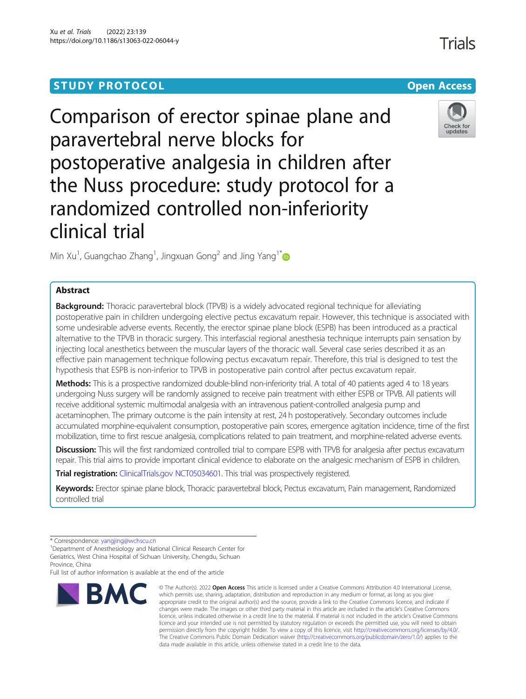# **STUDY PROTOCOL CONSUMING THE RESERVE ACCESS**

# Comparison of erector spinae plane and paravertebral nerve blocks for postoperative analgesia in children after the Nuss procedure: study protocol for a randomized controlled non-inferiority clinical trial

Min Xu<sup>1</sup>, Guangchao Zhang<sup>1</sup>, Jingxuan Gong<sup>2</sup> and Jing Yang<sup>1\*</sup>

# Abstract

**Background:** Thoracic paravertebral block (TPVB) is a widely advocated regional technique for alleviating postoperative pain in children undergoing elective pectus excavatum repair. However, this technique is associated with some undesirable adverse events. Recently, the erector spinae plane block (ESPB) has been introduced as a practical alternative to the TPVB in thoracic surgery. This interfascial regional anesthesia technique interrupts pain sensation by injecting local anesthetics between the muscular layers of the thoracic wall. Several case series described it as an effective pain management technique following pectus excavatum repair. Therefore, this trial is designed to test the hypothesis that ESPB is non-inferior to TPVB in postoperative pain control after pectus excavatum repair.

Methods: This is a prospective randomized double-blind non-inferiority trial. A total of 40 patients aged 4 to 18 years undergoing Nuss surgery will be randomly assigned to receive pain treatment with either ESPB or TPVB. All patients will receive additional systemic multimodal analgesia with an intravenous patient-controlled analgesia pump and acetaminophen. The primary outcome is the pain intensity at rest, 24 h postoperatively. Secondary outcomes include accumulated morphine-equivalent consumption, postoperative pain scores, emergence agitation incidence, time of the first mobilization, time to first rescue analgesia, complications related to pain treatment, and morphine-related adverse events.

**Discussion:** This will the first randomized controlled trial to compare ESPB with TPVB for analgesia after pectus excavatum repair. This trial aims to provide important clinical evidence to elaborate on the analgesic mechanism of ESPB in children.

**Trial registration:** [ClinicalTrials.gov](http://clinicaltrials.gov) [NCT05034601.](https://clinicaltrials.gov/ct2/show/NCT05034601) This trial was prospectively registered.

Keywords: Erector spinae plane block, Thoracic paravertebral block, Pectus excavatum, Pain management, Randomized controlled trial

Full list of author information is available at the end of the article



<sup>©</sup> The Author(s), 2022 **Open Access** This article is licensed under a Creative Commons Attribution 4.0 International License, which permits use, sharing, adaptation, distribution and reproduction in any medium or format, as long as you give appropriate credit to the original author(s) and the source, provide a link to the Creative Commons licence, and indicate if changes were made. The images or other third party material in this article are included in the article's Creative Commons licence, unless indicated otherwise in a credit line to the material. If material is not included in the article's Creative Commons licence and your intended use is not permitted by statutory regulation or exceeds the permitted use, you will need to obtain permission directly from the copyright holder. To view a copy of this licence, visit [http://creativecommons.org/licenses/by/4.0/.](http://creativecommons.org/licenses/by/4.0/) The Creative Commons Public Domain Dedication waiver [\(http://creativecommons.org/publicdomain/zero/1.0/](http://creativecommons.org/publicdomain/zero/1.0/)) applies to the data made available in this article, unless otherwise stated in a credit line to the data.



Check for updates

<sup>\*</sup> Correspondence: [yangjing@wchscu.cn](mailto:yangjing@wchscu.cn) <sup>1</sup>

<sup>&</sup>lt;sup>1</sup>Department of Anesthesiology and National Clinical Research Center for Geriatrics, West China Hospital of Sichuan University, Chengdu, Sichuan Province, China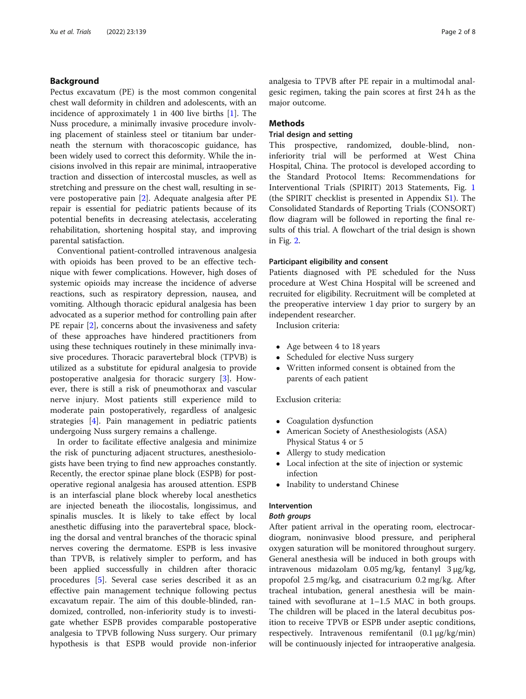# Background

Pectus excavatum (PE) is the most common congenital chest wall deformity in children and adolescents, with an incidence of approximately 1 in 400 live births [\[1](#page-7-0)]. The Nuss procedure, a minimally invasive procedure involving placement of stainless steel or titanium bar underneath the sternum with thoracoscopic guidance, has been widely used to correct this deformity. While the incisions involved in this repair are minimal, intraoperative traction and dissection of intercostal muscles, as well as stretching and pressure on the chest wall, resulting in severe postoperative pain [\[2](#page-7-0)]. Adequate analgesia after PE repair is essential for pediatric patients because of its potential benefits in decreasing atelectasis, accelerating rehabilitation, shortening hospital stay, and improving parental satisfaction.

Conventional patient-controlled intravenous analgesia with opioids has been proved to be an effective technique with fewer complications. However, high doses of systemic opioids may increase the incidence of adverse reactions, such as respiratory depression, nausea, and vomiting. Although thoracic epidural analgesia has been advocated as a superior method for controlling pain after PE repair [\[2](#page-7-0)], concerns about the invasiveness and safety of these approaches have hindered practitioners from using these techniques routinely in these minimally invasive procedures. Thoracic paravertebral block (TPVB) is utilized as a substitute for epidural analgesia to provide postoperative analgesia for thoracic surgery [[3\]](#page-7-0). However, there is still a risk of pneumothorax and vascular nerve injury. Most patients still experience mild to moderate pain postoperatively, regardless of analgesic strategies [[4\]](#page-7-0). Pain management in pediatric patients undergoing Nuss surgery remains a challenge.

In order to facilitate effective analgesia and minimize the risk of puncturing adjacent structures, anesthesiologists have been trying to find new approaches constantly. Recently, the erector spinae plane block (ESPB) for postoperative regional analgesia has aroused attention. ESPB is an interfascial plane block whereby local anesthetics are injected beneath the iliocostalis, longissimus, and spinalis muscles. It is likely to take effect by local anesthetic diffusing into the paravertebral space, blocking the dorsal and ventral branches of the thoracic spinal nerves covering the dermatome. ESPB is less invasive than TPVB, is relatively simpler to perform, and has been applied successfully in children after thoracic procedures [[5](#page-7-0)]. Several case series described it as an effective pain management technique following pectus excavatum repair. The aim of this double-blinded, randomized, controlled, non-inferiority study is to investigate whether ESPB provides comparable postoperative analgesia to TPVB following Nuss surgery. Our primary hypothesis is that ESPB would provide non-inferior analgesia to TPVB after PE repair in a multimodal analgesic regimen, taking the pain scores at first 24 h as the major outcome.

# **Methods**

# Trial design and setting

This prospective, randomized, double-blind, noninferiority trial will be performed at West China Hospital, China. The protocol is developed according to the Standard Protocol Items: Recommendations for Interventional Trials (SPIRIT) 2013 Statements, Fig. [1](#page-2-0) (the SPIRIT checklist is presented in Appendix S[1\)](#page-7-0). The Consolidated Standards of Reporting Trials (CONSORT) flow diagram will be followed in reporting the final results of this trial. A flowchart of the trial design is shown in Fig. [2](#page-3-0).

#### Participant eligibility and consent

Patients diagnosed with PE scheduled for the Nuss procedure at West China Hospital will be screened and recruited for eligibility. Recruitment will be completed at the preoperative interview 1 day prior to surgery by an independent researcher.

Inclusion criteria:

- Age between 4 to 18 years
- Scheduled for elective Nuss surgery
- Written informed consent is obtained from the parents of each patient

# Exclusion criteria:

- Coagulation dysfunction
- American Society of Anesthesiologists (ASA) Physical Status 4 or 5
- Allergy to study medication
- Local infection at the site of injection or systemic infection
- Inability to understand Chinese

# Intervention

# Both groups

After patient arrival in the operating room, electrocardiogram, noninvasive blood pressure, and peripheral oxygen saturation will be monitored throughout surgery. General anesthesia will be induced in both groups with intravenous midazolam 0.05 mg/kg, fentanyl 3 μg/kg, propofol 2.5 mg/kg, and cisatracurium 0.2 mg/kg. After tracheal intubation, general anesthesia will be maintained with sevoflurane at 1–1.5 MAC in both groups. The children will be placed in the lateral decubitus position to receive TPVB or ESPB under aseptic conditions, respectively. Intravenous remifentanil (0.1 μg/kg/min) will be continuously injected for intraoperative analgesia.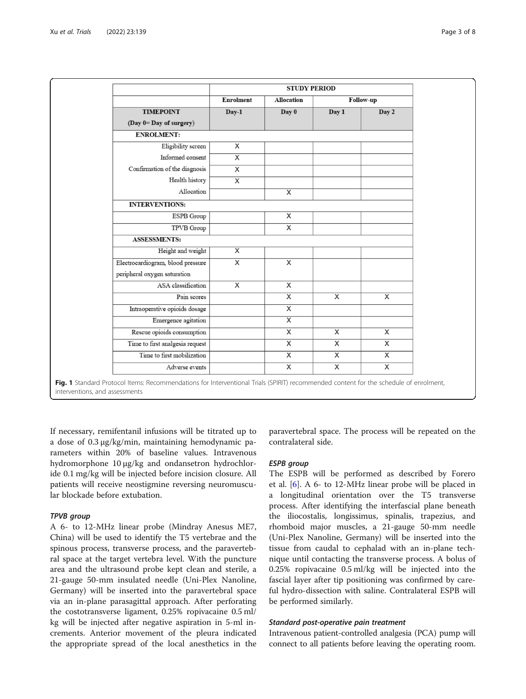<span id="page-2-0"></span>

|                                   | <b>STUDY PERIOD</b> |                         |                         |                |
|-----------------------------------|---------------------|-------------------------|-------------------------|----------------|
|                                   | <b>Enrolment</b>    | <b>Allocation</b>       |                         | Follow-up      |
| <b>TIMEPOINT</b>                  | $Day-1$             | Day 0                   | Day 1                   | Day 2          |
| (Day 0= Day of surgery)           |                     |                         |                         |                |
| <b>ENROLMENT:</b>                 |                     |                         |                         |                |
| Eligibility screen                | $\overline{X}$      |                         |                         |                |
| Informed consent                  | $\overline{X}$      |                         |                         |                |
| Confirmation of the diagnosis     | X                   |                         |                         |                |
| Health history                    | $\overline{X}$      |                         |                         |                |
| Allocation                        |                     | $\overline{\mathsf{x}}$ |                         |                |
| <b>INTERVENTIONS:</b>             |                     |                         |                         |                |
| ESPB Group                        |                     | X                       |                         |                |
| <b>TPVB</b> Group                 |                     | X                       |                         |                |
| <b>ASSESSMENTS:</b>               |                     |                         |                         |                |
| Height and weight                 | $\overline{X}$      |                         |                         |                |
| Electrocardiogram, blood pressure | $\overline{X}$      | $\overline{X}$          |                         |                |
| peripheral oxygen saturation      |                     |                         |                         |                |
| ASA classification                | X                   | X                       |                         |                |
| Pain scores                       |                     | $\overline{\mathsf{x}}$ | $\overline{X}$          | $\overline{X}$ |
| Intraoperative opioids dosage     |                     | $\overline{X}$          |                         |                |
| Emergence agitation               |                     | $\overline{\mathsf{x}}$ |                         |                |
| Rescue opioids consumption        |                     | X                       | X                       | X              |
| Time to first analgesia request   |                     | $\overline{X}$          | X                       | X              |
| Time to first mobilization        |                     | $\overline{\mathsf{x}}$ | $\overline{\mathsf{x}}$ | $\overline{X}$ |
| Adverse events                    |                     | $\overline{\mathsf{x}}$ | $\overline{\mathsf{x}}$ | $\overline{X}$ |

If necessary, remifentanil infusions will be titrated up to a dose of 0.3 μg/kg/min, maintaining hemodynamic parameters within 20% of baseline values. Intravenous hydromorphone 10 μg/kg and ondansetron hydrochloride 0.1 mg/kg will be injected before incision closure. All patients will receive neostigmine reversing neuromuscular blockade before extubation.

# TPVB group

A 6- to 12-MHz linear probe (Mindray Anesus ME7, China) will be used to identify the T5 vertebrae and the spinous process, transverse process, and the paravertebral space at the target vertebra level. With the puncture area and the ultrasound probe kept clean and sterile, a 21-gauge 50-mm insulated needle (Uni-Plex Nanoline, Germany) will be inserted into the paravertebral space via an in-plane parasagittal approach. After perforating the costotransverse ligament, 0.25% ropivacaine 0.5 ml/ kg will be injected after negative aspiration in 5-ml increments. Anterior movement of the pleura indicated the appropriate spread of the local anesthetics in the

paravertebral space. The process will be repeated on the contralateral side.

# ESPB group

The ESPB will be performed as described by Forero et al. [\[6](#page-7-0)]. A 6- to 12-MHz linear probe will be placed in a longitudinal orientation over the T5 transverse process. After identifying the interfascial plane beneath the iliocostalis, longissimus, spinalis, trapezius, and rhomboid major muscles, a 21-gauge 50-mm needle (Uni-Plex Nanoline, Germany) will be inserted into the tissue from caudal to cephalad with an in-plane technique until contacting the transverse process. A bolus of 0.25% ropivacaine 0.5 ml/kg will be injected into the fascial layer after tip positioning was confirmed by careful hydro-dissection with saline. Contralateral ESPB will be performed similarly.

# Standard post-operative pain treatment

Intravenous patient-controlled analgesia (PCA) pump will connect to all patients before leaving the operating room.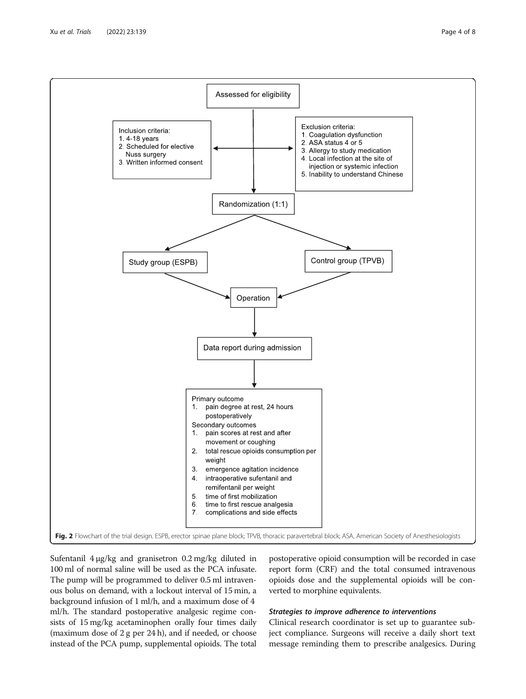<span id="page-3-0"></span>

Sufentanil 4 μg/kg and granisetron 0.2 mg/kg diluted in 100 ml of normal saline will be used as the PCA infusate. The pump will be programmed to deliver 0.5 ml intravenous bolus on demand, with a lockout interval of 15 min, a background infusion of 1 ml/h, and a maximum dose of 4 ml/h. The standard postoperative analgesic regime consists of 15 mg/kg acetaminophen orally four times daily (maximum dose of 2 g per 24 h), and if needed, or choose instead of the PCA pump, supplemental opioids. The total

postoperative opioid consumption will be recorded in case report form (CRF) and the total consumed intravenous opioids dose and the supplemental opioids will be converted to morphine equivalents.

# Strategies to improve adherence to interventions

Clinical research coordinator is set up to guarantee subject compliance. Surgeons will receive a daily short text message reminding them to prescribe analgesics. During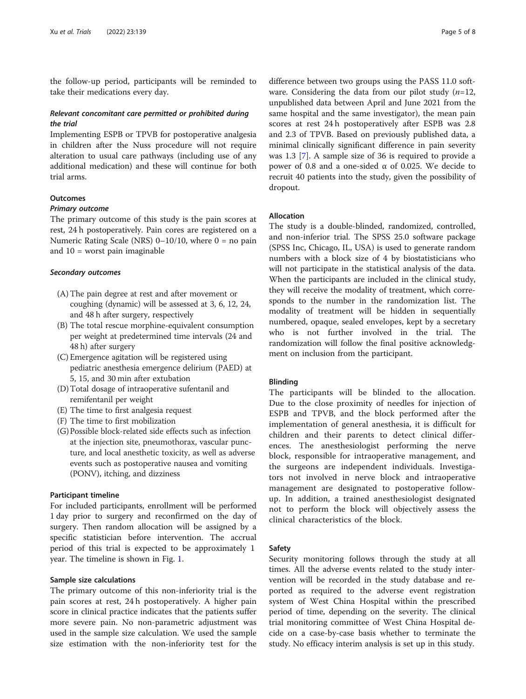the follow-up period, participants will be reminded to take their medications every day.

# Relevant concomitant care permitted or prohibited during the trial

Implementing ESPB or TPVB for postoperative analgesia in children after the Nuss procedure will not require alteration to usual care pathways (including use of any additional medication) and these will continue for both trial arms.

# **Outcomes**

#### Primary outcome

The primary outcome of this study is the pain scores at rest, 24 h postoperatively. Pain cores are registered on a Numeric Rating Scale (NRS)  $0-10/10$ , where  $0 =$  no pain and 10 = worst pain imaginable

#### Secondary outcomes

- (A) The pain degree at rest and after movement or coughing (dynamic) will be assessed at 3, 6, 12, 24, and 48 h after surgery, respectively
- (B) The total rescue morphine-equivalent consumption per weight at predetermined time intervals (24 and 48 h) after surgery
- (C) Emergence agitation will be registered using pediatric anesthesia emergence delirium (PAED) at 5, 15, and 30 min after extubation
- (D)Total dosage of intraoperative sufentanil and remifentanil per weight
- (E) The time to first analgesia request
- (F) The time to first mobilization
- (G) Possible block-related side effects such as infection at the injection site, pneumothorax, vascular puncture, and local anesthetic toxicity, as well as adverse events such as postoperative nausea and vomiting (PONV), itching, and dizziness

#### Participant timeline

For included participants, enrollment will be performed 1 day prior to surgery and reconfirmed on the day of surgery. Then random allocation will be assigned by a specific statistician before intervention. The accrual period of this trial is expected to be approximately 1 year. The timeline is shown in Fig. [1](#page-2-0).

#### Sample size calculations

The primary outcome of this non-inferiority trial is the pain scores at rest, 24 h postoperatively. A higher pain score in clinical practice indicates that the patients suffer more severe pain. No non-parametric adjustment was used in the sample size calculation. We used the sample size estimation with the non-inferiority test for the

difference between two groups using the PASS 11.0 software. Considering the data from our pilot study  $(n=12,$ unpublished data between April and June 2021 from the same hospital and the same investigator), the mean pain scores at rest 24 h postoperatively after ESPB was 2.8 and 2.3 of TPVB. Based on previously published data, a minimal clinically significant difference in pain severity was 1.3 [[7\]](#page-7-0). A sample size of 36 is required to provide a power of 0.8 and a one-sided  $α$  of 0.025. We decide to recruit 40 patients into the study, given the possibility of dropout.

#### Allocation

The study is a double-blinded, randomized, controlled, and non-inferior trial. The SPSS 25.0 software package (SPSS Inc, Chicago, IL, USA) is used to generate random numbers with a block size of 4 by biostatisticians who will not participate in the statistical analysis of the data. When the participants are included in the clinical study, they will receive the modality of treatment, which corresponds to the number in the randomization list. The modality of treatment will be hidden in sequentially numbered, opaque, sealed envelopes, kept by a secretary who is not further involved in the trial. The randomization will follow the final positive acknowledgment on inclusion from the participant.

#### Blinding

The participants will be blinded to the allocation. Due to the close proximity of needles for injection of ESPB and TPVB, and the block performed after the implementation of general anesthesia, it is difficult for children and their parents to detect clinical differences. The anesthesiologist performing the nerve block, responsible for intraoperative management, and the surgeons are independent individuals. Investigators not involved in nerve block and intraoperative management are designated to postoperative followup. In addition, a trained anesthesiologist designated not to perform the block will objectively assess the clinical characteristics of the block.

# Safety

Security monitoring follows through the study at all times. All the adverse events related to the study intervention will be recorded in the study database and reported as required to the adverse event registration system of West China Hospital within the prescribed period of time, depending on the severity. The clinical trial monitoring committee of West China Hospital decide on a case-by-case basis whether to terminate the study. No efficacy interim analysis is set up in this study.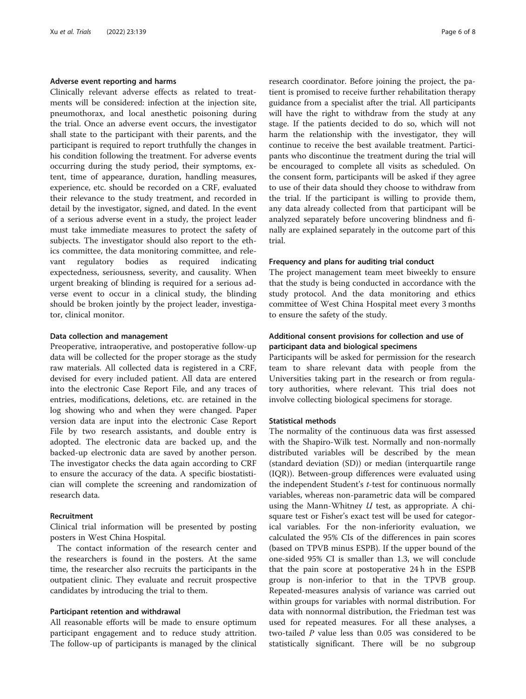#### Adverse event reporting and harms

Clinically relevant adverse effects as related to treatments will be considered: infection at the injection site, pneumothorax, and local anesthetic poisoning during the trial. Once an adverse event occurs, the investigator shall state to the participant with their parents, and the participant is required to report truthfully the changes in his condition following the treatment. For adverse events occurring during the study period, their symptoms, extent, time of appearance, duration, handling measures, experience, etc. should be recorded on a CRF, evaluated their relevance to the study treatment, and recorded in detail by the investigator, signed, and dated. In the event of a serious adverse event in a study, the project leader must take immediate measures to protect the safety of subjects. The investigator should also report to the ethics committee, the data monitoring committee, and relevant regulatory bodies as required indicating expectedness, seriousness, severity, and causality. When urgent breaking of blinding is required for a serious adverse event to occur in a clinical study, the blinding should be broken jointly by the project leader, investigator, clinical monitor.

# Data collection and management

Preoperative, intraoperative, and postoperative follow-up data will be collected for the proper storage as the study raw materials. All collected data is registered in a CRF, devised for every included patient. All data are entered into the electronic Case Report File, and any traces of entries, modifications, deletions, etc. are retained in the log showing who and when they were changed. Paper version data are input into the electronic Case Report File by two research assistants, and double entry is adopted. The electronic data are backed up, and the backed-up electronic data are saved by another person. The investigator checks the data again according to CRF to ensure the accuracy of the data. A specific biostatistician will complete the screening and randomization of research data.

#### Recruitment

Clinical trial information will be presented by posting posters in West China Hospital.

The contact information of the research center and the researchers is found in the posters. At the same time, the researcher also recruits the participants in the outpatient clinic. They evaluate and recruit prospective candidates by introducing the trial to them.

# Participant retention and withdrawal

All reasonable efforts will be made to ensure optimum participant engagement and to reduce study attrition. The follow-up of participants is managed by the clinical research coordinator. Before joining the project, the patient is promised to receive further rehabilitation therapy guidance from a specialist after the trial. All participants will have the right to withdraw from the study at any stage. If the patients decided to do so, which will not harm the relationship with the investigator, they will continue to receive the best available treatment. Participants who discontinue the treatment during the trial will be encouraged to complete all visits as scheduled. On the consent form, participants will be asked if they agree to use of their data should they choose to withdraw from the trial. If the participant is willing to provide them, any data already collected from that participant will be analyzed separately before uncovering blindness and finally are explained separately in the outcome part of this trial.

#### Frequency and plans for auditing trial conduct

The project management team meet biweekly to ensure that the study is being conducted in accordance with the study protocol. And the data monitoring and ethics committee of West China Hospital meet every 3 months to ensure the safety of the study.

# Additional consent provisions for collection and use of participant data and biological specimens

Participants will be asked for permission for the research team to share relevant data with people from the Universities taking part in the research or from regulatory authorities, where relevant. This trial does not involve collecting biological specimens for storage.

#### Statistical methods

The normality of the continuous data was first assessed with the Shapiro-Wilk test. Normally and non-normally distributed variables will be described by the mean (standard deviation (SD)) or median (interquartile range (IQR)). Between-group differences were evaluated using the independent Student's t-test for continuous normally variables, whereas non-parametric data will be compared using the Mann-Whitney  $U$  test, as appropriate. A chisquare test or Fisher's exact test will be used for categorical variables. For the non-inferiority evaluation, we calculated the 95% CIs of the differences in pain scores (based on TPVB minus ESPB). If the upper bound of the one-sided 95% CI is smaller than 1.3, we will conclude that the pain score at postoperative 24 h in the ESPB group is non-inferior to that in the TPVB group. Repeated-measures analysis of variance was carried out within groups for variables with normal distribution. For data with nonnormal distribution, the Friedman test was used for repeated measures. For all these analyses, a two-tailed P value less than 0.05 was considered to be statistically significant. There will be no subgroup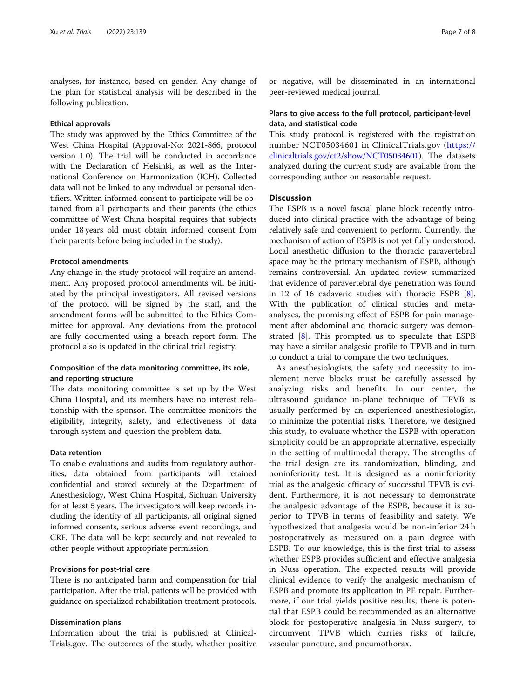analyses, for instance, based on gender. Any change of the plan for statistical analysis will be described in the following publication.

# Ethical approvals

The study was approved by the Ethics Committee of the West China Hospital (Approval-No: 2021-866, protocol version 1.0). The trial will be conducted in accordance with the Declaration of Helsinki, as well as the International Conference on Harmonization (ICH). Collected data will not be linked to any individual or personal identifiers. Written informed consent to participate will be obtained from all participants and their parents (the ethics committee of West China hospital requires that subjects under 18 years old must obtain informed consent from their parents before being included in the study).

# Protocol amendments

Any change in the study protocol will require an amendment. Any proposed protocol amendments will be initiated by the principal investigators. All revised versions of the protocol will be signed by the staff, and the amendment forms will be submitted to the Ethics Committee for approval. Any deviations from the protocol are fully documented using a breach report form. The protocol also is updated in the clinical trial registry.

# Composition of the data monitoring committee, its role, and reporting structure

The data monitoring committee is set up by the West China Hospital, and its members have no interest relationship with the sponsor. The committee monitors the eligibility, integrity, safety, and effectiveness of data through system and question the problem data.

# Data retention

To enable evaluations and audits from regulatory authorities, data obtained from participants will retained confidential and stored securely at the Department of Anesthesiology, West China Hospital, Sichuan University for at least 5 years. The investigators will keep records including the identity of all participants, all original signed informed consents, serious adverse event recordings, and CRF. The data will be kept securely and not revealed to other people without appropriate permission.

# Provisions for post-trial care

There is no anticipated harm and compensation for trial participation. After the trial, patients will be provided with guidance on specialized rehabilitation treatment protocols.

# Dissemination plans

Information about the trial is published at Clinical-Trials.gov. The outcomes of the study, whether positive

or negative, will be disseminated in an international peer-reviewed medical journal.

# Plans to give access to the full protocol, participant-level data, and statistical code

This study protocol is registered with the registration number NCT05034601 in ClinicalTrials.gov ([https://](https://clinicaltrials.gov/ct2/show/NCT05034601) [clinicaltrials.gov/ct2/show/NCT05034601](https://clinicaltrials.gov/ct2/show/NCT05034601)). The datasets analyzed during the current study are available from the corresponding author on reasonable request.

# **Discussion**

The ESPB is a novel fascial plane block recently introduced into clinical practice with the advantage of being relatively safe and convenient to perform. Currently, the mechanism of action of ESPB is not yet fully understood. Local anesthetic diffusion to the thoracic paravertebral space may be the primary mechanism of ESPB, although remains controversial. An updated review summarized that evidence of paravertebral dye penetration was found in 12 of 16 cadaveric studies with thoracic ESPB [\[8](#page-7-0)]. With the publication of clinical studies and metaanalyses, the promising effect of ESPB for pain management after abdominal and thoracic surgery was demonstrated [[8\]](#page-7-0). This prompted us to speculate that ESPB may have a similar analgesic profile to TPVB and in turn to conduct a trial to compare the two techniques.

As anesthesiologists, the safety and necessity to implement nerve blocks must be carefully assessed by analyzing risks and benefits. In our center, the ultrasound guidance in-plane technique of TPVB is usually performed by an experienced anesthesiologist, to minimize the potential risks. Therefore, we designed this study, to evaluate whether the ESPB with operation simplicity could be an appropriate alternative, especially in the setting of multimodal therapy. The strengths of the trial design are its randomization, blinding, and noninferiority test. It is designed as a noninferiority trial as the analgesic efficacy of successful TPVB is evident. Furthermore, it is not necessary to demonstrate the analgesic advantage of the ESPB, because it is superior to TPVB in terms of feasibility and safety. We hypothesized that analgesia would be non-inferior 24 h postoperatively as measured on a pain degree with ESPB. To our knowledge, this is the first trial to assess whether ESPB provides sufficient and effective analgesia in Nuss operation. The expected results will provide clinical evidence to verify the analgesic mechanism of ESPB and promote its application in PE repair. Furthermore, if our trial yields positive results, there is potential that ESPB could be recommended as an alternative block for postoperative analgesia in Nuss surgery, to circumvent TPVB which carries risks of failure, vascular puncture, and pneumothorax.